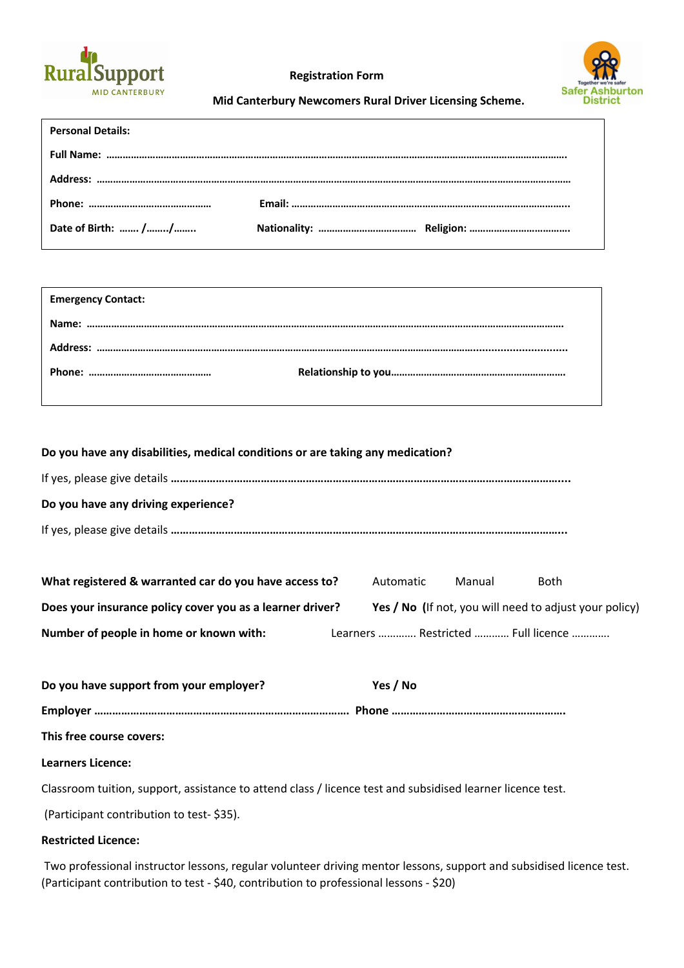

**Registration Form**



 **Mid Canterbury Newcomers Rural Driver Licensing Scheme.**

| <b>Personal Details:</b> |  |
|--------------------------|--|
|                          |  |
|                          |  |
|                          |  |
| Date of Birth:  //       |  |

| <b>Emergency Contact:</b> |  |
|---------------------------|--|
|                           |  |
|                           |  |
|                           |  |
|                           |  |

|  |  |  | Do you have any disabilities, medical conditions or are taking any medication? |  |
|--|--|--|--------------------------------------------------------------------------------|--|
|  |  |  |                                                                                |  |

| Do you have any driving experience? |
|-------------------------------------|
|                                     |

| What registered & warranted car do you have access to?    | Automatic | Manual | <b>Both</b>                                            |  |
|-----------------------------------------------------------|-----------|--------|--------------------------------------------------------|--|
| Does your insurance policy cover you as a learner driver? |           |        | Yes / No (If not, you will need to adjust your policy) |  |

**Number of people in home or known with:** Learners …………. Restricted ………… Full licence ………….

| Do you have support from your employer?                                                                    | Yes / No |
|------------------------------------------------------------------------------------------------------------|----------|
|                                                                                                            |          |
| This free course covers:                                                                                   |          |
| <b>Learners Licence:</b>                                                                                   |          |
| Classroom tuition, support, assistance to attend class / licence test and subsidised learner licence test. |          |
| (Participant contribution to test-\$35).                                                                   |          |

## **Restricted Licence:**

Two professional instructor lessons, regular volunteer driving mentor lessons, support and subsidised licence test. (Participant contribution to test - \$40, contribution to professional lessons - \$20)